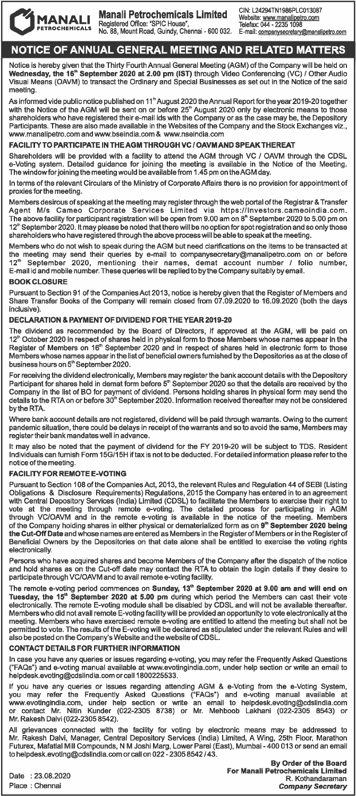

MANALI Manali Petrochemicals Limited<br>
PETROCHEMICALS Registered Office: "SPIC House",<br>
PETROCHEMICALS No. 88, Mount Road, Guindy, Chennai - 600 032. E-mail: <u>companysecretary@manalipetro</u>.com **MANALI Manali Petrochemicals Limited** CIN: L24294TN1986PLC013087<br>PETROCHEMICALS Registered Office: "SPIC House", The Capaco Telefax: 044 - 2235 1098 Registered Office: "SPIC House",<br>Telefax: 044 • 2235 1098<br>No. 88, Mount Road, Guindy, Chennai - 600 032. E-mail: companysecretary@manalipetro.com PETROCHEMICALS No. 88, Mount Road, Guindy, Chennai • 600 032. E-mail: companysecretary@manalipetro.com

# NOTICE OF ANNUAL GENERAL MEETING AND RELATED MATTERS

Notice is hereby given that the Thirty Fourth Annual General Meeting (AGM) of the Company will be held on Wednesday, the 161• September 2020 at 2.00 pm (IST) through Video Conferencing (VC) *I* other Audio Visual Means (OAVM) to transact the Ordinary and Special Businesses as set out in the Notice of the said meeting

As informed vide public notice published on 11<sup>th</sup> August 2020 the Annual Report for the year 2019-20 together with the Notice of the AGM will be sent on or before 25<sup>th</sup> August 2020 only by electronic means to those shareholders who have registered their e-mail ids with the Company or as the case may be, the Depository<br>Participants. These are also made available in the Websites of the Company and the Stock Exchanges viz., www.manalipetro.com and www.bseindia.com & www.nseindia.com

### FACILITY TO PARTICIPATE IN THEAGM THROUGH VC *I* OAVMAND SPEAK THEREAT

Shareholders will be provided with a facility to attend the AGM through VC *I* OAVM through the CDSL a-Voting system. Detailed guidance for joining the meeting is available in the Notice of the Meeting. The window for joining the meeting would be available from 1.45 pm on theAGM day.

In terms of the relevant Circulars of the Ministry of Corporate Affairs there is no provision for appointment of proxies for the meeting.

Members desirous of speaking at the meeting may register through the web portal of the Registrar & Transfer Agent M/s Cameo Corporate Services Limited via https://lnvestors.cameoindia.com. The above facility for participant registration will be open from 9.00 am on 8• September 2020 to 5.00 pm on 12<sup>th</sup> September 2020. It may please be noted that there will be no option for spot registration and so only those shareholders who have registered through the above process will be able to speak at the meeting.

Members who do not wish to speak during the AGM but need clarifications on the items to be transacted at the meeting may send their queries by e-mail to companysecretary@manalipetro.com on or before 12•• September 2020, mentioning their names, demat account number *I* folio number, E-mail id and mobile number. These queries will be replied to by the Company suitably by email.

### BOOK CLOSURE

Pursuant to Section 91 of the Companies Act 2013, notice is hereby given that the Register of Members and Share Transfer Books of the Company will remain closed from 07.09.2020 to 16.09.2020 (both the days inclusive).

### DECLARATION & PAYMENT OF DIVIDEND FOR THE YEAR 2019-20

The dividend as recommended by the Board of Directors, if approved at the AGM, will be paid on 12<sup>th</sup> October 2020 in respect of shares held in physical form to those Members whose names appear in the Register of Members on 16<sup>th</sup> September 2020 and in respect of shares held in electronic form to those Members whose names appear in the list of beneficial owners furnished by the Depositories as at the close of business hours on 5<sup>th</sup> September 2020.

For receiving the dividend electronically, Members may register the bank account details with the Depository Participant for shares held in demat form before 5" September 2020 so that the details are received by the<br>Company in the list of BO for payment of dividend. Persons holding shares in physical form may send the details to the RTA on or before 30<sup>th</sup> September 2020. Information received thereafter may not be considered by the RTA.

Where bank account details are not registered, dividend will be paid through warrants. Owing to the current pandemic situation, there could be delays in receipt of the warrants and so to avoid the same, Members may register their bank mandates well in advance.

It may also be noted that the payment of dividend for the FY 2019-20 will be subject to TDS. Resident Individuals can furnish Form 15G/15H if tax is not to be deducted. For detailed information please refer to the notice of the meeting.

### FACILITY FOR REMOTE E-VOTING

Pursuant to Section 108 of the Companies Act, 2013, the relevant Rules and Regulation 44 of SEBI (Listing Obligations & Disclosure Requirements) Regulations, 2015 the Company has entered in to an agreement with Central Depository Services (India) Limited (CDSL) to facilitate the Members to exercise their right to vote at the meeting through remote a-voting. The detailed process for participating in AGM through VC/OAVM and in the remote a-voting is available in the notice of the meeting. Members of the Company holding shares in either physical or dematerialized form as on 9<sup>th</sup> Se**ptember 2020 being** the Cut-Off Date and whose names are entered as Members in the Register of Members or in the Register of Beneficial Owners by the Depositories on that date alone shall be entitled to exercise the voting rights electronically.

Persons who have acquired shares and become Members of the Company after the dispatch of the notice and hold shares as on the Cut-off date may contact the RTA to obtain the login details if they desire to participate through VC/OAVM and to avail remote e-voting facility.

The remote e-voting period commences on Sunday, 13<sup>th</sup> September 2020 at 9.00 am and will end on Tuesday, the 15•• September 2020 at 5.00 pm during which period the Members can cast their vote electronically. The remote E-voting module shall be disabled by CDSL and will not be available thereafter. Members who did not avail remote E-voting facility will be provided an opportunity to vote electronically at the meeting. Members who have exercised remote a-voting are entitled to attend the meeting but shall not be permitted to vote. The results of the E-voting will be declared as stipulated under the relevant Rules and will also be posted on the Company's Website and the website of CDSL.

### CONTACT DETAILS FOR FURTHER INFORMATION

In case you have any queries or issues regarding e-voting, you may refer the Frequently Asked Questions<br>("FAQs") and e-voting manual available at www.evotingindia.com, under help section or write an email to helpdesk.evoting@cdslindia.com or call 1800225533.

If you have any queries or issues regarding attending AGM & e-Voting from the e-Voting System,<br>you may refer the Frequently Asked Questions ("FAQs") and e-voting manual available at<br>www.evotingindia.com, under help section Mr. Rakesh Dalvi (022-2305 8542).

All grievances connected with the facility for voting by electronic means may be addressed to Mr. Rakesh Dalvi, Manager, Central Depository Services (India) Limited, A Wing, 25th Floor, Marathon Futurex, Mafatlal Mill Compounds, NM Joshi Marg, Lower Parel (East), Mumbai-400 013 or send an email to helpdesk.evoting@cdslindia.com or call on 022 -2305 8542 / 43.

Date : 23.08.2020 Place : Chennai